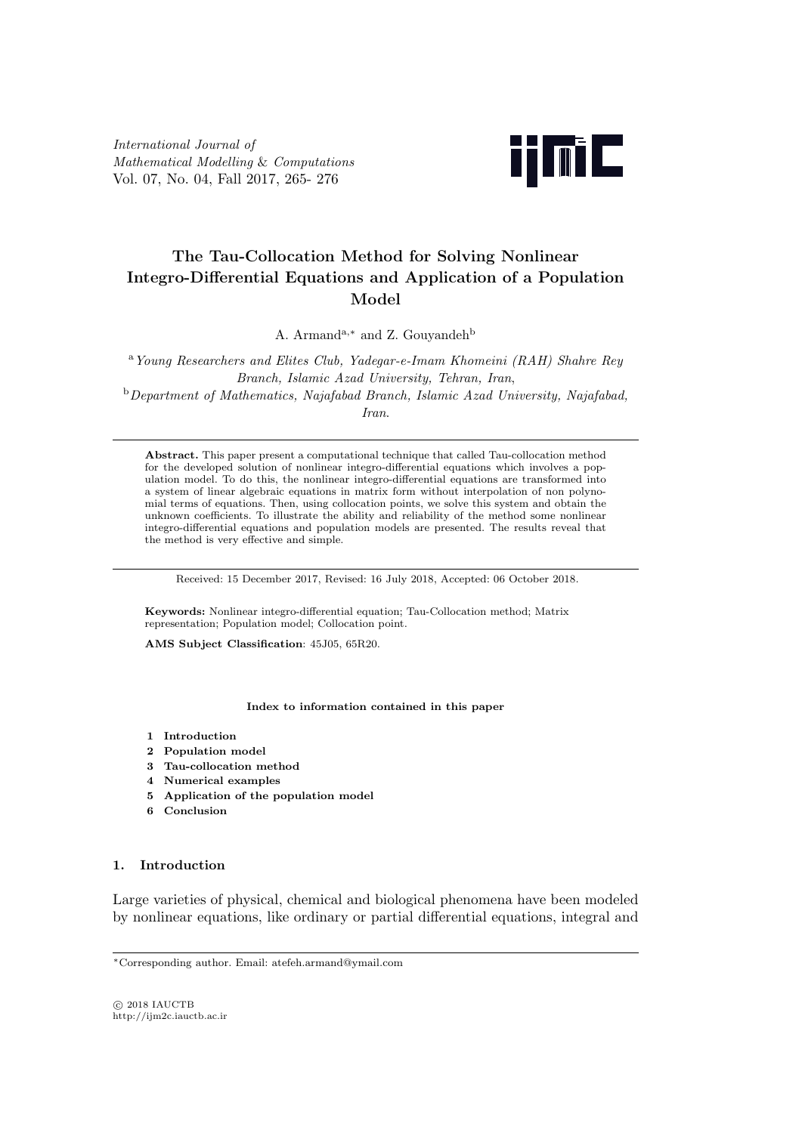International Journal of Mathematical Modelling & Computations Vol. 07, No. 04, Fall 2017, 265- 276



# The Tau-Collocation Method for Solving Nonlinear Integro-Differential Equations and Application of a Population Model

A. Armand<sup>a,∗</sup> and Z. Gouyandeh<sup>b</sup>

<sup>a</sup>Young Researchers and Elites Club, Yadegar-e-Imam Khomeini (RAH) Shahre Rey Branch, Islamic Azad University, Tehran, Iran,  $b$ Department of Mathematics, Najafabad Branch, Islamic Azad University, Najafabad, Iran.

Abstract. This paper present a computational technique that called Tau-collocation method for the developed solution of nonlinear integro-differential equations which involves a population model. To do this, the nonlinear integro-differential equations are transformed into a system of linear algebraic equations in matrix form without interpolation of non polynomial terms of equations. Then, using collocation points, we solve this system and obtain the unknown coefficients. To illustrate the ability and reliability of the method some nonlinear integro-differential equations and population models are presented. The results reveal that the method is very effective and simple.

Received: 15 December 2017, Revised: 16 July 2018, Accepted: 06 October 2018.

Keywords: Nonlinear integro-differential equation; Tau-Collocation method; Matrix representation; Population model; Collocation point.

AMS Subject Classification: 45J05, 65R20.

#### Index to information contained in this paper

- 1 Introduction
- 2 Population model
- 3 Tau-collocation method
- 4 Numerical examples
- 5 Application of the population model
- 6 Conclusion

# 1. Introduction

Large varieties of physical, chemical and biological phenomena have been modeled by nonlinear equations, like ordinary or partial differential equations, integral and

 $C<sub>2018</sub>$  IAUCTB http://ijm2c.iauctb.ac.ir

<sup>∗</sup>Corresponding author. Email: atefeh.armand@ymail.com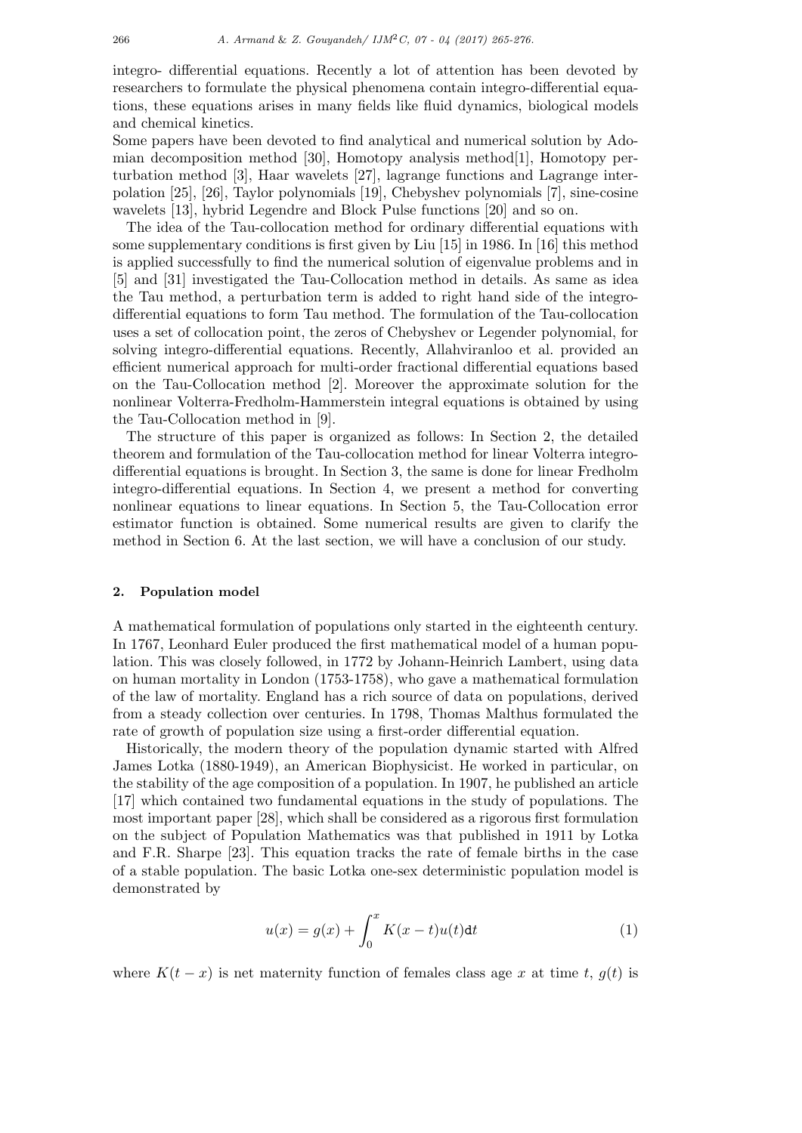integro- differential equations. Recently a lot of attention has been devoted by researchers to formulate the physical phenomena contain integro-differential equations, these equations arises in many fields like fluid dynamics, biological models and chemical kinetics.

Some papers have been devoted to find analytical and numerical solution by Adomian decomposition method [30], Homotopy analysis method[1], Homotopy perturbation method [3], Haar wavelets [27], lagrange functions and Lagrange interpolation [25], [26], Taylor polynomials [19], Chebyshev polynomials [7], sine-cosine wavelets [13], hybrid Legendre and Block Pulse functions [20] and so on.

The idea of the Tau-collocation method for ordinary differential equations with some supplementary conditions is first given by Liu [15] in 1986. In [16] this method is applied successfully to find the numerical solution of eigenvalue problems and in [5] and [31] investigated the Tau-Collocation method in details. As same as idea the Tau method, a perturbation term is added to right hand side of the integrodifferential equations to form Tau method. The formulation of the Tau-collocation uses a set of collocation point, the zeros of Chebyshev or Legender polynomial, for solving integro-differential equations. Recently, Allahviranloo et al. provided an efficient numerical approach for multi-order fractional differential equations based on the Tau-Collocation method [2]. Moreover the approximate solution for the nonlinear Volterra-Fredholm-Hammerstein integral equations is obtained by using the Tau-Collocation method in [9].

The structure of this paper is organized as follows: In Section 2, the detailed theorem and formulation of the Tau-collocation method for linear Volterra integrodifferential equations is brought. In Section 3, the same is done for linear Fredholm integro-differential equations. In Section 4, we present a method for converting nonlinear equations to linear equations. In Section 5, the Tau-Collocation error estimator function is obtained. Some numerical results are given to clarify the method in Section 6. At the last section, we will have a conclusion of our study.

#### 2. Population model

A mathematical formulation of populations only started in the eighteenth century. In 1767, Leonhard Euler produced the first mathematical model of a human population. This was closely followed, in 1772 by Johann-Heinrich Lambert, using data on human mortality in London (1753-1758), who gave a mathematical formulation of the law of mortality. England has a rich source of data on populations, derived from a steady collection over centuries. In 1798, Thomas Malthus formulated the rate of growth of population size using a first-order differential equation.

Historically, the modern theory of the population dynamic started with Alfred James Lotka (1880-1949), an American Biophysicist. He worked in particular, on the stability of the age composition of a population. In 1907, he published an article [17] which contained two fundamental equations in the study of populations. The most important paper [28], which shall be considered as a rigorous first formulation on the subject of Population Mathematics was that published in 1911 by Lotka and F.R. Sharpe [23]. This equation tracks the rate of female births in the case of a stable population. The basic Lotka one-sex deterministic population model is demonstrated by

$$
u(x) = g(x) + \int_0^x K(x - t)u(t)dt
$$
\n(1)

where  $K(t - x)$  is net maternity function of females class age x at time t,  $g(t)$  is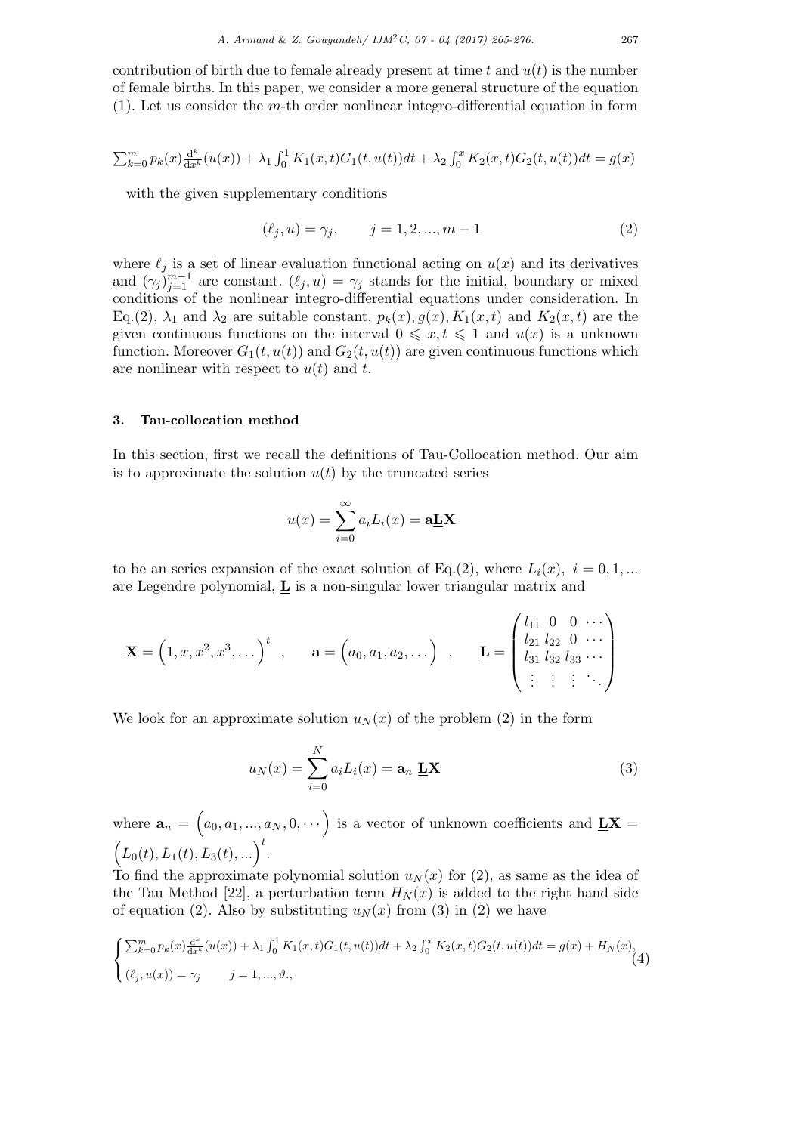contribution of birth due to female already present at time t and  $u(t)$  is the number of female births. In this paper, we consider a more general structure of the equation (1). Let us consider the m-th order nonlinear integro-differential equation in form

$$
\sum_{k=0}^{m} p_k(x) \frac{d^k}{dx^k} (u(x)) + \lambda_1 \int_0^1 K_1(x,t) G_1(t, u(t)) dt + \lambda_2 \int_0^x K_2(x,t) G_2(t, u(t)) dt = g(x)
$$

with the given supplementary conditions

$$
(\ell_j, u) = \gamma_j, \qquad j = 1, 2, ..., m - 1
$$
 (2)

where  $\ell_j$  is a set of linear evaluation functional acting on  $u(x)$  and its derivatives and  $(\gamma_j)_{j=1}^{m-1}$  are constant.  $(\ell_j, u) = \gamma_j$  stands for the initial, boundary or mixed conditions of the nonlinear integro-differential equations under consideration. In Eq.(2),  $\lambda_1$  and  $\lambda_2$  are suitable constant,  $p_k(x)$ ,  $g(x)$ ,  $K_1(x,t)$  and  $K_2(x,t)$  are the given continuous functions on the interval  $0 \leq x, t \leq 1$  and  $u(x)$  is a unknown function. Moreover  $G_1(t, u(t))$  and  $G_2(t, u(t))$  are given continuous functions which are nonlinear with respect to  $u(t)$  and t.

## 3. Tau-collocation method

In this section, first we recall the definitions of Tau-Collocation method. Our aim is to approximate the solution  $u(t)$  by the truncated series

$$
u(x) = \sum_{i=0}^{\infty} a_i L_i(x) = \mathbf{a} \mathbf{L} \mathbf{X}
$$

to be an series expansion of the exact solution of Eq.(2), where  $L_i(x)$ ,  $i = 0, 1, ...$ are Legendre polynomial,  $\underline{\mathbf{L}}$  is a non-singular lower triangular matrix and

$$
\mathbf{X} = (1, x, x^2, x^3, \dots)^t , \quad \mathbf{a} = (a_0, a_1, a_2, \dots) , \quad \mathbf{L} = \begin{pmatrix} l_{11} & 0 & 0 & \cdots \\ l_{21} & l_{22} & 0 & \cdots \\ l_{31} & l_{32} & l_{33} & \cdots \\ \vdots & \vdots & \vdots & \ddots \end{pmatrix}
$$

We look for an approximate solution  $u_N(x)$  of the problem (2) in the form

$$
u_N(x) = \sum_{i=0}^{N} a_i L_i(x) = \mathbf{a}_n \mathbf{L} \mathbf{X}
$$
 (3)

where  $\mathbf{a}_n = (a_0, a_1, ..., a_N, 0, \dots)$  is a vector of unknown coefficients and  $\underline{\mathbf{L}}\mathbf{X} =$  $(L_0(t), L_1(t), L_3(t), ...)$ <sup>t</sup>.

To find the approximate polynomial solution  $u_N(x)$  for (2), as same as the idea of the Tau Method [22], a perturbation term  $H<sub>N</sub>(x)$  is added to the right hand side of equation (2). Also by substituting  $u_N(x)$  from (3) in (2) we have

$$
\begin{cases} \sum_{k=0}^{m} p_k(x) \frac{d^k}{dx^k} (u(x)) + \lambda_1 \int_0^1 K_1(x, t) G_1(t, u(t)) dt + \lambda_2 \int_0^x K_2(x, t) G_2(t, u(t)) dt = g(x) + H_N(x), \\ (\ell_j, u(x)) = \gamma_j \qquad j = 1, ..., \vartheta, \end{cases} (4)
$$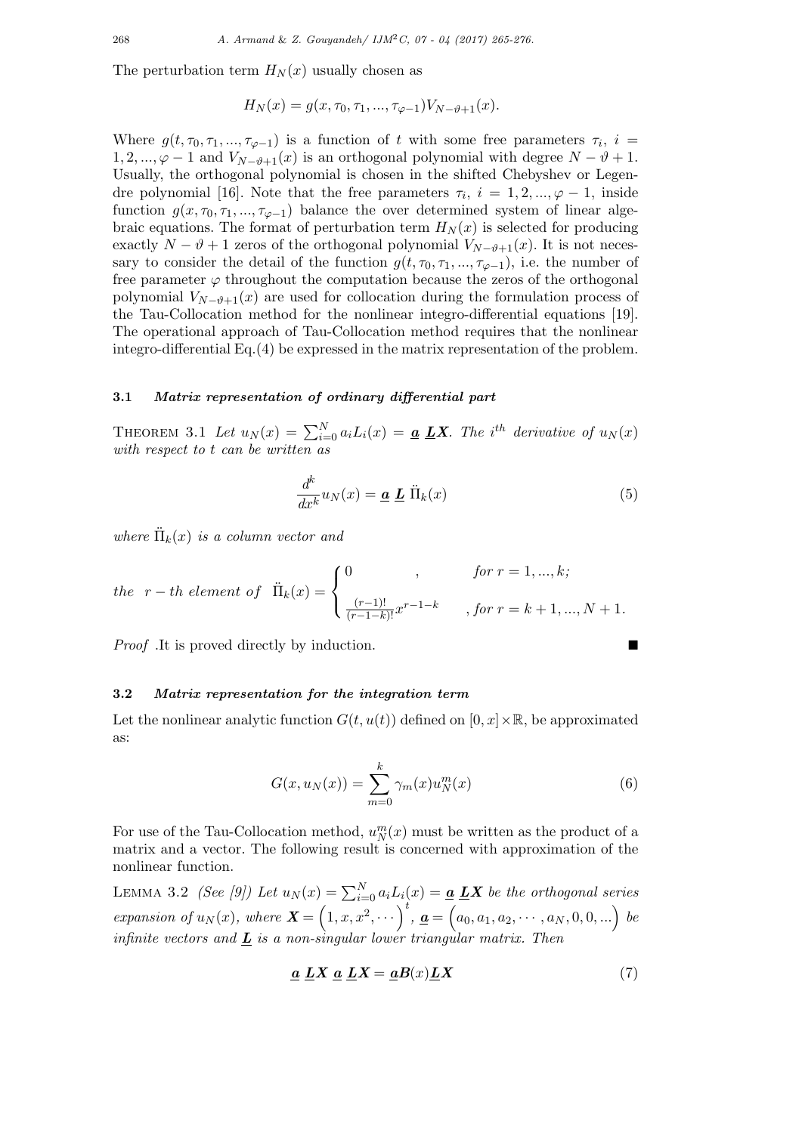The perturbation term  $H_N(x)$  usually chosen as

$$
H_N(x) = g(x, \tau_0, \tau_1, ..., \tau_{\varphi-1}) V_{N-\vartheta+1}(x).
$$

Where  $g(t, \tau_0, \tau_1, ..., \tau_{\varphi-1})$  is a function of t with some free parameters  $\tau_i$ ,  $i =$  $1, 2, ..., \varphi - 1$  and  $V_{N-\vartheta+1}(x)$  is an orthogonal polynomial with degree  $N-\vartheta+1$ . Usually, the orthogonal polynomial is chosen in the shifted Chebyshev or Legendre polynomial [16]. Note that the free parameters  $\tau_i$ ,  $i = 1, 2, ..., \varphi - 1$ , inside function  $g(x, \tau_0, \tau_1, ..., \tau_{\varphi-1})$  balance the over determined system of linear algebraic equations. The format of perturbation term  $H_N(x)$  is selected for producing exactly  $N - \vartheta + 1$  zeros of the orthogonal polynomial  $V_{N-\vartheta+1}(x)$ . It is not necessary to consider the detail of the function  $g(t, \tau_0, \tau_1, ..., \tau_{\varphi-1})$ , i.e. the number of free parameter  $\varphi$  throughout the computation because the zeros of the orthogonal polynomial  $V_{N-\vartheta+1}(x)$  are used for collocation during the formulation process of the Tau-Collocation method for the nonlinear integro-differential equations [19]. The operational approach of Tau-Collocation method requires that the nonlinear integro-differential Eq.(4) be expressed in the matrix representation of the problem.

### 3.1 Matrix representation of ordinary differential part

THEOREM 3.1 Let  $u_N(x) = \sum_{i=0}^N a_i L_i(x) = \underline{a} \underline{L} \underline{X}$ . The i<sup>th</sup> derivative of  $u_N(x)$ with respect to t can be written as

$$
\frac{d^k}{dx^k}u_N(x) = \underline{\boldsymbol{a}} \underline{\boldsymbol{L}} \ddot{\Pi}_k(x) \tag{5}
$$

where  $\ddot{\Pi}_k(x)$  is a column vector and

the 
$$
r-th
$$
 element of  $\ddot{\Pi}_k(x) = \begin{cases} 0, & \text{for } r = 1, ..., k; \\ \frac{(r-1)!}{(r-1-k)!} x^{r-1-k}, & \text{for } r = k+1, ..., N+1. \end{cases}$ 

Proof .It is proved directly by induction.

#### 3.2 Matrix representation for the integration term

Let the nonlinear analytic function  $G(t, u(t))$  defined on  $[0, x] \times \mathbb{R}$ , be approximated as:

$$
G(x, u_N(x)) = \sum_{m=0}^{k} \gamma_m(x) u_N^m(x)
$$
\n<sup>(6)</sup>

For use of the Tau-Collocation method,  $u_N^m(x)$  must be written as the product of a matrix and a vector. The following result is concerned with approximation of the nonlinear function.

LEMMA 3.2 *(See [9])* Let  $u_N(x) = \sum_{i=0}^N a_i L_i(x) = \underline{a} \underline{L} \underline{X}$  be the orthogonal series expansion of  $u_N(x)$ , where  $\mathbf{X} = (1, x, x^2, \dots)^t$ ,  $\underline{\mathbf{a}} = (a_0, a_1, a_2, \dots, a_N, 0, 0, \dots)$  be infinite vectors and  $\boldsymbol{L}$  is a non-singular lower triangular matrix. Then

$$
\underline{a}\ \underline{L}X\ \underline{a}\ \underline{L}X = \underline{a}B(x)\underline{L}X\tag{7}
$$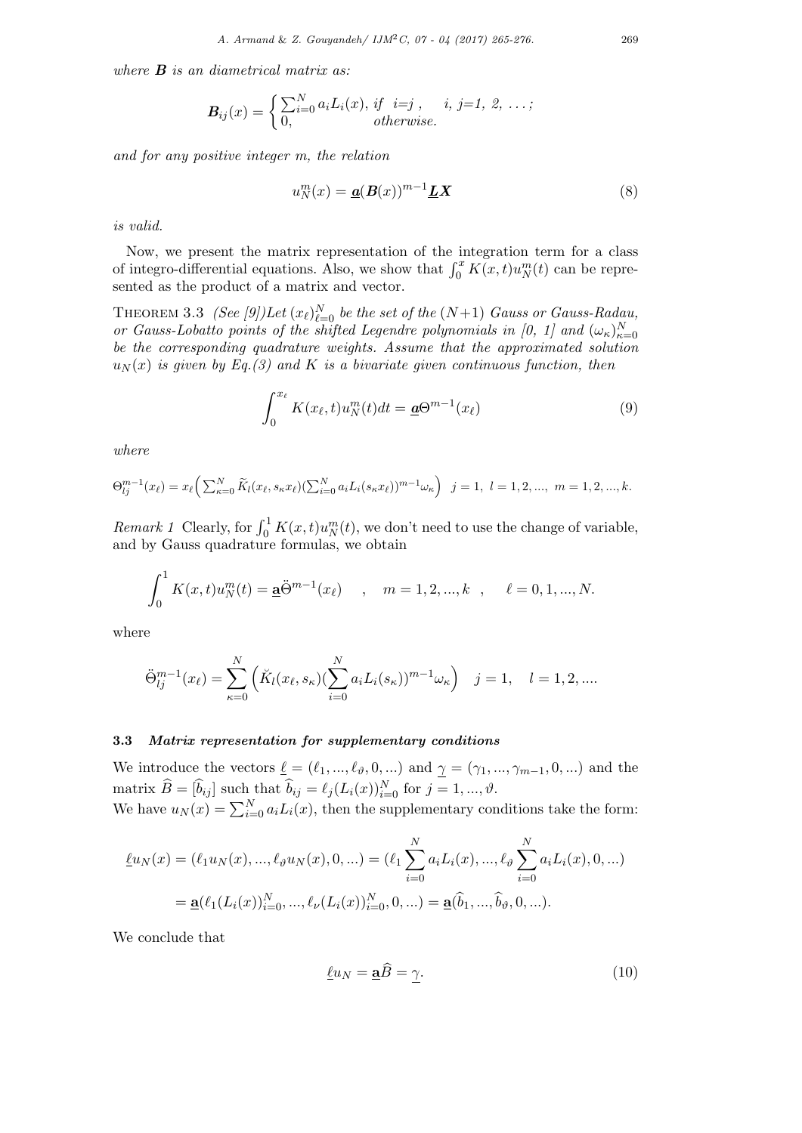where  $\bf{B}$  is an diametrical matrix as:

$$
\boldsymbol{B}_{ij}(x) = \begin{cases} \sum_{i=0}^{N} a_i L_i(x), \; if \; i=j, \; i, \; j=1, \; 2, \; \ldots; \\ 0, \qquad \qquad otherwise. \end{cases}
$$

and for any positive integer m, the relation

$$
u_N^m(x) = \underline{\mathbf{a}}(\mathbf{B}(x))^{m-1}\underline{\mathbf{L}}\mathbf{X}
$$
\n(8)

is valid.

Now, we present the matrix representation of the integration term for a class of integro-differential equations. Also, we show that  $\int_0^x K(x,t)u_N^m(t)$  can be represented as the product of a matrix and vector.

THEOREM 3.3 (See [9])Let  $(x_\ell)_{\ell=0}^N$  be the set of the  $(N+1)$  Gauss or Gauss-Radau, or Gauss-Lobatto points of the shifted Legendre polynomials in [0, 1] and  $(\omega_{\kappa})_{\kappa=0}^N$ be the corresponding quadrature weights. Assume that the approximated solution  $u_N(x)$  is given by Eq.(3) and K is a bivariate given continuous function, then

$$
\int_0^{x_\ell} K(x_\ell, t) u_N^m(t) dt = \underline{\mathbf{a}} \Theta^{m-1}(x_\ell)
$$
\n(9)

where

$$
\Theta_{lj}^{m-1}(x_{\ell}) = x_{\ell} \left( \sum_{\kappa=0}^{N} \widetilde{K}_{l}(x_{\ell}, s_{\kappa} x_{\ell}) (\sum_{i=0}^{N} a_{i} L_{i}(s_{\kappa} x_{\ell}))^{m-1} \omega_{\kappa} \right) \quad j = 1, \ l = 1, 2, ..., \ m = 1, 2, ..., k.
$$

Remark 1 Clearly, for  $\int_0^1 K(x,t)u_N^m(t)$ , we don't need to use the change of variable, and by Gauss quadrature formulas, we obtain

$$
\int_0^1 K(x,t)u_N^m(t) = \underline{\mathbf{a}}\ddot{\Theta}^{m-1}(x_\ell) \quad , \quad m = 1,2,...,k \quad , \quad \ell = 0,1,...,N.
$$

where

$$
\ddot{\Theta}_{lj}^{m-1}(x_{\ell}) = \sum_{\kappa=0}^{N} \left( \breve{K}_{l}(x_{\ell}, s_{\kappa}) \left( \sum_{i=0}^{N} a_{i} L_{i}(s_{\kappa}) \right)^{m-1} \omega_{\kappa} \right) \quad j = 1, \quad l = 1, 2, ....
$$

## 3.3 Matrix representation for supplementary conditions

We introduce the vectors  $\underline{\ell} = (\ell_1, ..., \ell_{\vartheta}, 0, ...)$  and  $\gamma = (\gamma_1, ..., \gamma_{m-1}, 0, ...)$  and the matrix  $\widehat{B} = [\widehat{b}_{ij}]$  such that  $\widehat{b}_{ij} = \ell_j (L_i(x))_{i=0}^N$  for  $j = 1, ..., \vartheta$ . We have  $u_N(x) = \sum_{i=0}^{N} a_i L_i(x)$ , then the supplementary conditions take the form:

$$
\underline{\ell}u_N(x) = (\ell_1 u_N(x), ..., \ell_\vartheta u_N(x), 0, ...) = (\ell_1 \sum_{i=0}^N a_i L_i(x), ..., \ell_\vartheta \sum_{i=0}^N a_i L_i(x), 0, ...)
$$

$$
= \underline{\mathbf{a}}(\ell_1(L_i(x))_{i=0}^N, ..., \ell_{\nu}(L_i(x))_{i=0}^N, 0, ...) = \underline{\mathbf{a}}(\widehat{b}_1, ..., \widehat{b}_{\vartheta}, 0, ...).
$$

We conclude that

$$
\underline{\ell}u_N = \underline{\mathbf{a}}B = \underline{\gamma}.\tag{10}
$$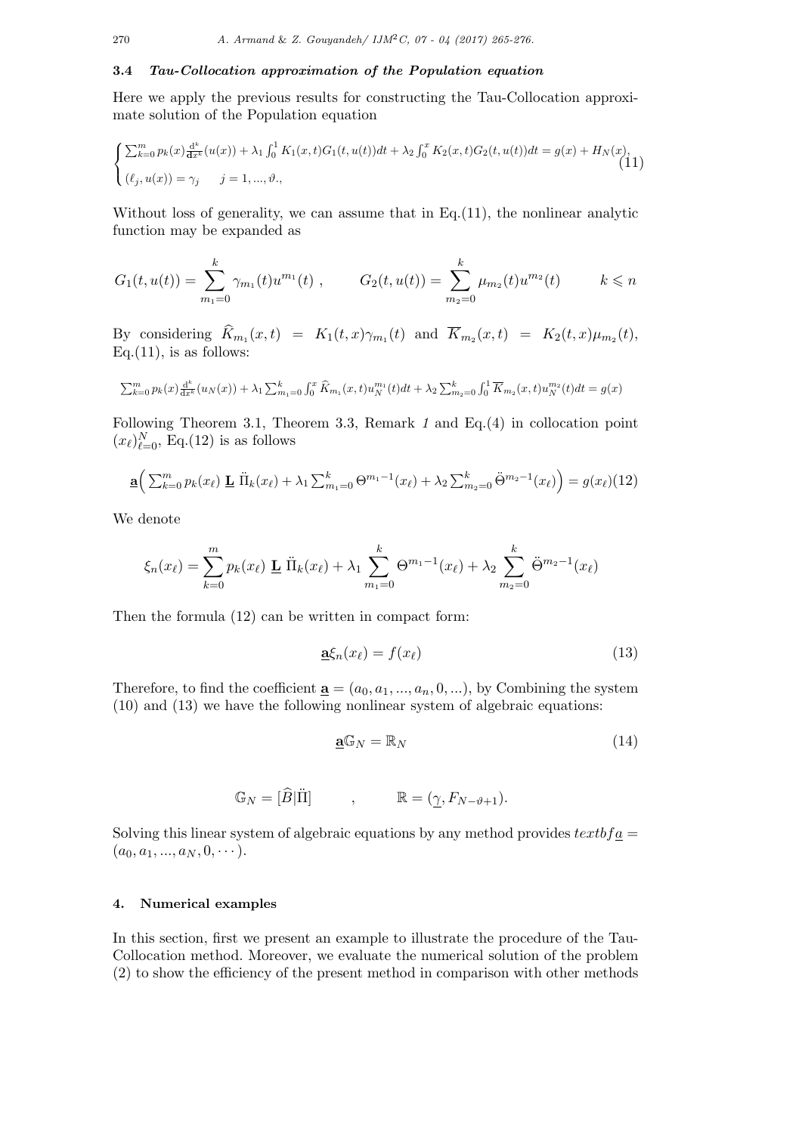## 3.4 Tau-Collocation approximation of the Population equation

Here we apply the previous results for constructing the Tau-Collocation approximate solution of the Population equation

$$
\begin{cases} \sum_{k=0}^{m} p_k(x) \frac{d^k}{dx^k} (u(x)) + \lambda_1 \int_0^1 K_1(x, t) G_1(t, u(t)) dt + \lambda_2 \int_0^x K_2(x, t) G_2(t, u(t)) dt = g(x) + H_N(x), \\ (\ell_j, u(x)) = \gamma_j \qquad j = 1, ..., \vartheta, \end{cases}
$$
(11)

Without loss of generality, we can assume that in Eq.(11), the nonlinear analytic function may be expanded as

$$
G_1(t, u(t)) = \sum_{m_1=0}^k \gamma_{m_1}(t) u^{m_1}(t) , \qquad G_2(t, u(t)) = \sum_{m_2=0}^k \mu_{m_2}(t) u^{m_2}(t) \qquad k \leq n
$$

By considering  $K_{m_1}(x,t) = K_1(t,x)\gamma_{m_1}(t)$  and  $K_{m_2}(x,t) = K_2(t,x)\mu_{m_2}(t)$ ,  $Eq.(11)$ , is as follows:

$$
\sum_{k=0}^{m} p_k(x) \frac{d^k}{dx^k} (u_N(x)) + \lambda_1 \sum_{m_1=0}^{k} \int_0^x \widehat{K}_{m_1}(x, t) u_N^{m_1}(t) dt + \lambda_2 \sum_{m_2=0}^{k} \int_0^1 \overline{K}_{m_2}(x, t) u_N^{m_2}(t) dt = g(x)
$$

Following Theorem 3.1, Theorem 3.3, Remark 1 and Eq.(4) in collocation point  $(x_\ell)_{\ell=0}^N$ , Eq.(12) is as follows

$$
\underline{\mathbf{a}} \Big( \sum_{k=0}^{m} p_k(x_{\ell}) \underline{\mathbf{L}} \, \ddot{\Pi}_k(x_{\ell}) + \lambda_1 \sum_{m_1=0}^{k} \Theta^{m_1-1}(x_{\ell}) + \lambda_2 \sum_{m_2=0}^{k} \ddot{\Theta}^{m_2-1}(x_{\ell}) \Big) = g(x_{\ell})(12)
$$

We denote

$$
\xi_n(x_\ell) = \sum_{k=0}^m p_k(x_\ell) \mathbf{L} \ddot{\Pi}_k(x_\ell) + \lambda_1 \sum_{m_1=0}^k \Theta^{m_1-1}(x_\ell) + \lambda_2 \sum_{m_2=0}^k \ddot{\Theta}^{m_2-1}(x_\ell)
$$

Then the formula (12) can be written in compact form:

$$
\underline{\mathbf{a}}\xi_n(x_\ell) = f(x_\ell) \tag{13}
$$

Therefore, to find the coefficient  $\underline{\mathbf{a}} = (a_0, a_1, ..., a_n, 0, ...)$ , by Combining the system (10) and (13) we have the following nonlinear system of algebraic equations:

$$
\mathbf{a}\mathbb{G}_N = \mathbb{R}_N \tag{14}
$$

$$
\mathbb{G}_N = [\hat{B}|\Pi] \qquad , \qquad \mathbb{R} = (\underline{\gamma}, F_{N-\vartheta+1}).
$$

Solving this linear system of algebraic equations by any method provides  $textbf{t}x$  $(a_0, a_1, ..., a_N, 0, \cdots).$ 

# 4. Numerical examples

In this section, first we present an example to illustrate the procedure of the Tau-Collocation method. Moreover, we evaluate the numerical solution of the problem (2) to show the efficiency of the present method in comparison with other methods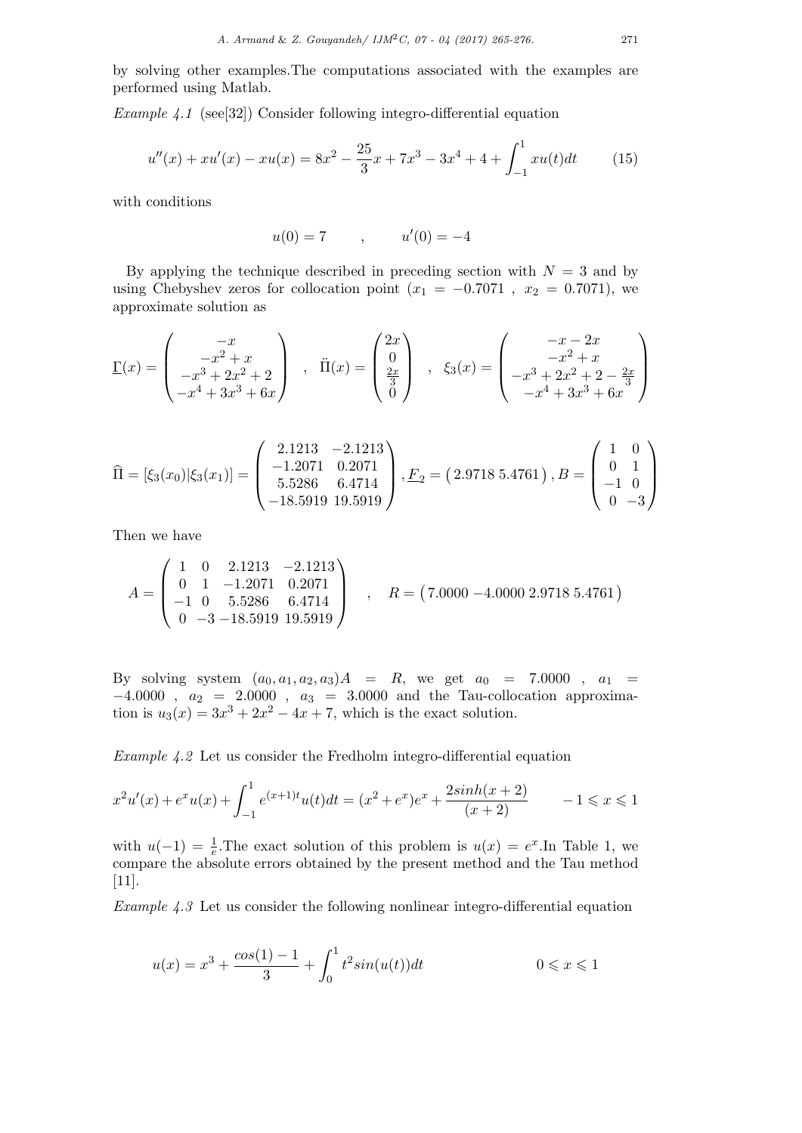by solving other examples.The computations associated with the examples are performed using Matlab.

Example 4.1 (see[32]) Consider following integro-differential equation

$$
u''(x) + xu'(x) - xu(x) = 8x^2 - \frac{25}{3}x + 7x^3 - 3x^4 + 4 + \int_{-1}^{1} xu(t)dt
$$
 (15)

with conditions

 $u(0) = 7$ ,  $u'(0) = -4$ 

By applying the technique described in preceding section with  $N = 3$  and by using Chebyshev zeros for collocation point  $(x_1 = -0.7071, x_2 = 0.7071)$ , we approximate solution as

$$
\underline{\Gamma}(x) = \begin{pmatrix} -x \\ -x^2 + x \\ -x^3 + 2x^2 + 2 \\ -x^4 + 3x^3 + 6x \end{pmatrix} , \quad \ddot{\Pi}(x) = \begin{pmatrix} 2x \\ 0 \\ \frac{2x}{3} \\ 0 \end{pmatrix} , \quad \xi_3(x) = \begin{pmatrix} -x - 2x \\ -x^2 + x \\ -x^3 + 2x^2 + 2 - \frac{2x}{3} \\ -x^4 + 3x^3 + 6x \end{pmatrix}
$$

$$
\widehat{\Pi} = [\xi_3(x_0)|\xi_3(x_1)] = \begin{pmatrix} 2.1213 & -2.1213 \\ -1.2071 & 0.2071 \\ 5.5286 & 6.4714 \\ -18.5919 & 19.5919 \end{pmatrix}, E_2 = (2.9718 \ 5.4761), B = \begin{pmatrix} 1 & 0 \\ 0 & 1 \\ -1 & 0 \\ 0 & -3 \end{pmatrix}
$$

Then we have

$$
A = \begin{pmatrix} 1 & 0 & 2.1213 & -2.1213 \\ 0 & 1 & -1.2071 & 0.2071 \\ -1 & 0 & 5.5286 & 6.4714 \\ 0 & -3 & -18.5919 & 19.5919 \end{pmatrix} , \quad R = (7.0000 - 4.0000 - 2.97185.4761)
$$

By solving system  $(a_0, a_1, a_2, a_3)A = R$ , we get  $a_0 = 7.0000$ ,  $a_1 =$  $-4.0000$ ,  $a_2 = 2.0000$ ,  $a_3 = 3.0000$  and the Tau-collocation approximation is  $u_3(x) = 3x^3 + 2x^2 - 4x + 7$ , which is the exact solution.

Example 4.2 Let us consider the Fredholm integro-differential equation

$$
x^{2}u'(x) + e^{x}u(x) + \int_{-1}^{1} e^{(x+1)t}u(t)dt = (x^{2} + e^{x})e^{x} + \frac{2\sinh(x+2)}{(x+2)} \qquad -1 \le x \le 1
$$

with  $u(-1) = \frac{1}{e}$ . The exact solution of this problem is  $u(x) = e^x$ . In Table 1, we compare the absolute errors obtained by the present method and the Tau method [11].

Example 4.3 Let us consider the following nonlinear integro-differential equation

$$
u(x) = x^3 + \frac{\cos(1) - 1}{3} + \int_0^1 t^2 \sin(u(t)) dt
$$
 0 \le x \le 1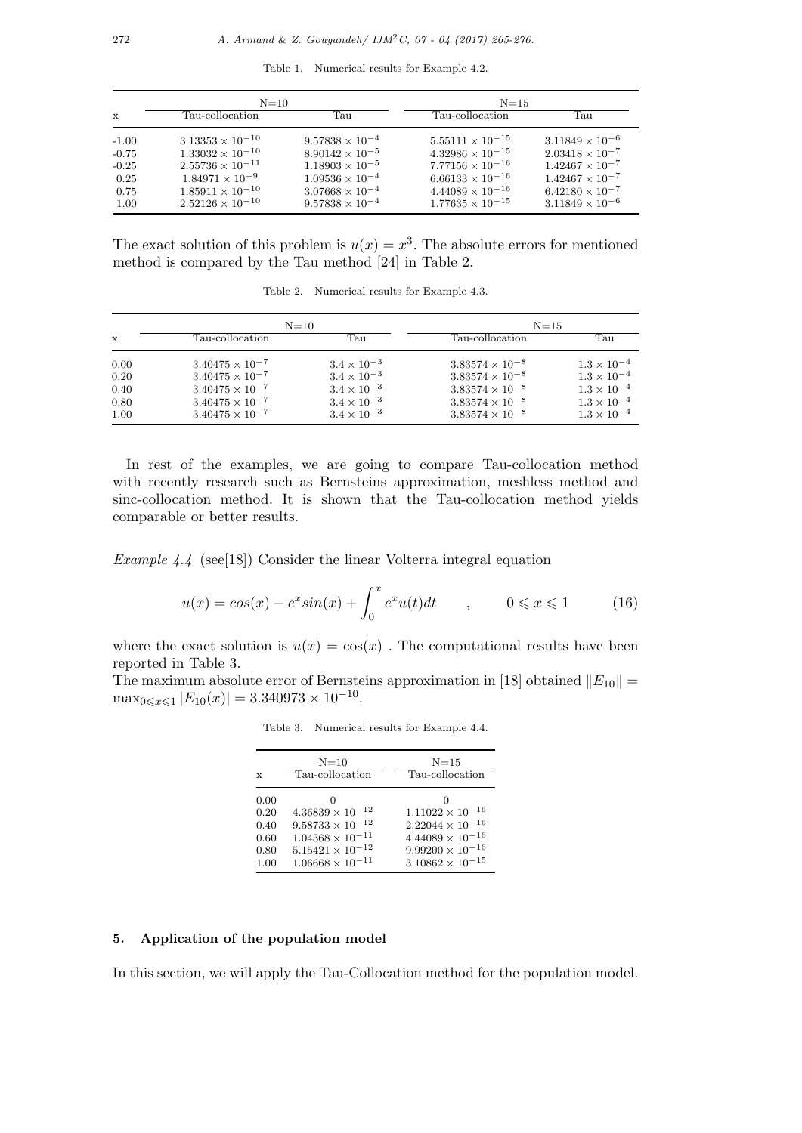Table 1. Numerical results for Example 4.2.

|              | $N=10$                    |                          | $N = 15$                  |                          |
|--------------|---------------------------|--------------------------|---------------------------|--------------------------|
| $\mathbf{x}$ | Tau-collocation           | Тап                      | Tau-collocation           | Tau                      |
| $-1.00$      | $3.13353 \times 10^{-10}$ | $9.57838 \times 10^{-4}$ | $5.55111 \times 10^{-15}$ | $3.11849 \times 10^{-6}$ |
| $-0.75$      | $1.33032 \times 10^{-10}$ | $8.90142 \times 10^{-5}$ | $4.32986 \times 10^{-15}$ | $2.03418 \times 10^{-7}$ |
| $-0.25$      | $2.55736 \times 10^{-11}$ | $1.18903 \times 10^{-5}$ | $7.77156 \times 10^{-16}$ | $1.42467 \times 10^{-7}$ |
| 0.25         | $1.84971 \times 10^{-9}$  | $1.09536 \times 10^{-4}$ | $6.66133 \times 10^{-16}$ | $1.42467 \times 10^{-7}$ |
| 0.75         | $1.85911 \times 10^{-10}$ | $3.07668 \times 10^{-4}$ | $4.44089 \times 10^{-16}$ | $6.42180 \times 10^{-7}$ |
| 1.00         | $2.52126 \times 10^{-10}$ | $9.57838 \times 10^{-4}$ | $1.77635 \times 10^{-15}$ | $3.11849 \times 10^{-6}$ |

The exact solution of this problem is  $u(x) = x^3$ . The absolute errors for mentioned method is compared by the Tau method [24] in Table 2.

|              | $N=10$                   |                      | $N = 15$                 |                      |
|--------------|--------------------------|----------------------|--------------------------|----------------------|
| $\mathbf{x}$ | $\rm Tau$ -collocation   | Тап                  | Tau-collocation          | Тап                  |
| 0.00         | $3.40475 \times 10^{-7}$ | $3.4 \times 10^{-3}$ | $3.83574 \times 10^{-8}$ | $1.3 \times 10^{-4}$ |
| 0.20         | $3.40475 \times 10^{-7}$ | $3.4 \times 10^{-3}$ | $3.83574 \times 10^{-8}$ | $1.3 \times 10^{-4}$ |
| 0.40         | $3.40475 \times 10^{-7}$ | $3.4 \times 10^{-3}$ | $3.83574 \times 10^{-8}$ | $1.3 \times 10^{-4}$ |
| 0.80         | $3.40475 \times 10^{-7}$ | $3.4 \times 10^{-3}$ | $3.83574 \times 10^{-8}$ | $1.3 \times 10^{-4}$ |
| 1.00         | $3.40475 \times 10^{-7}$ | $3.4 \times 10^{-3}$ | $3.83574 \times 10^{-8}$ | $1.3 \times 10^{-4}$ |

Table 2. Numerical results for Example 4.3.

In rest of the examples, we are going to compare Tau-collocation method with recently research such as Bernsteins approximation, meshless method and sinc-collocation method. It is shown that the Tau-collocation method yields comparable or better results.

Example  $4.4$  (see[18]) Consider the linear Volterra integral equation

$$
u(x) = \cos(x) - e^x \sin(x) + \int_0^x e^x u(t) dt \qquad , \qquad 0 \le x \le 1 \tag{16}
$$

where the exact solution is  $u(x) = \cos(x)$ . The computational results have been reported in Table 3.

The maximum absolute error of Bernsteins approximation in [18] obtained  $||E_{10}|| =$  $\max_{0 \leq x \leq 1} |E_{10}(x)| = 3.340973 \times 10^{-10}.$ 

|              | $N=10$<br>Tau-collocation | $N = 15$<br>Tau-collocation |
|--------------|---------------------------|-----------------------------|
| $\mathbf{x}$ |                           |                             |
| 0.00         | $\mathbf{0}$              |                             |
| 0.20         | $4.36839\times10^{-12}$   | $1.11022 \times 10^{-16}$   |
| 0.40         | $9.58733 \times 10^{-12}$ | $2.22044 \times 10^{-16}$   |
| 0.60         | $1.04368 \times 10^{-11}$ | $4.44089 \times 10^{-16}$   |
| 0.80         | $5.15421 \times 10^{-12}$ | $9.99200 \times 10^{-16}$   |
| 1.00         | $1.06668 \times 10^{-11}$ | $3.10862 \times 10^{-15}$   |

Table 3. Numerical results for Example 4.4.

## 5. Application of the population model

In this section, we will apply the Tau-Collocation method for the population model.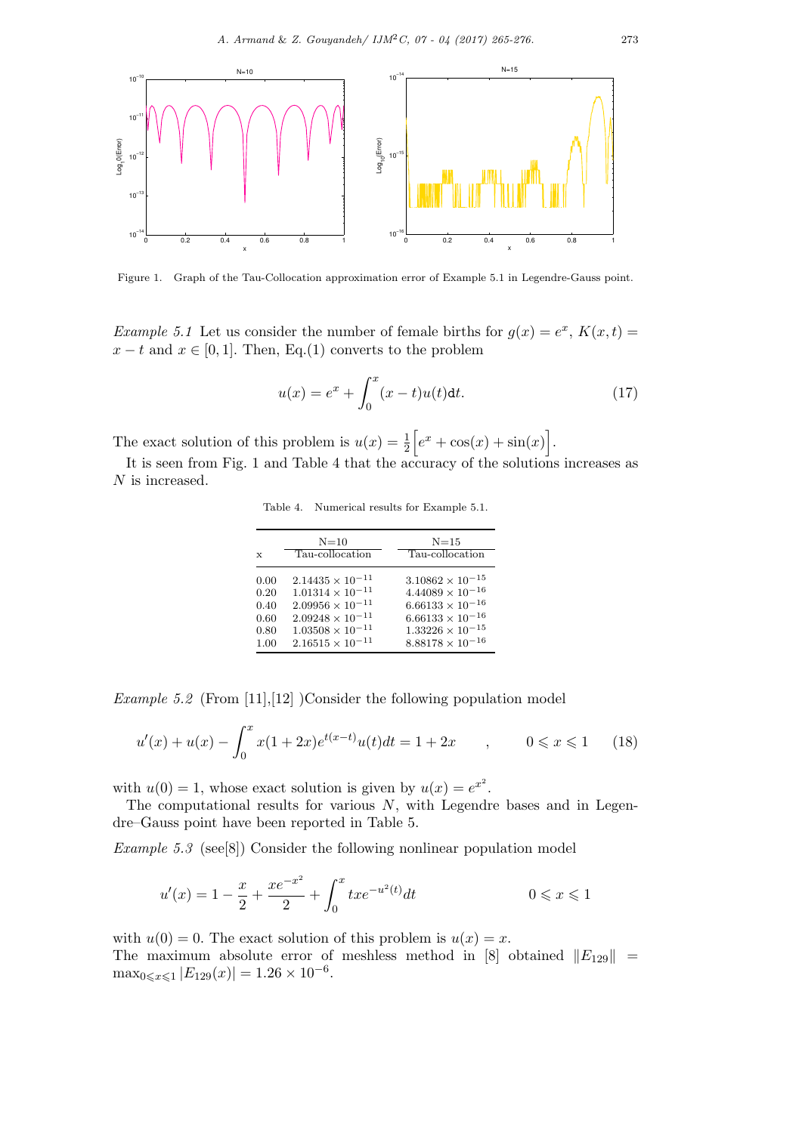

Figure 1. Graph of the Tau-Collocation approximation error of Example 5.1 in Legendre-Gauss point.

*Example 5.1* Let us consider the number of female births for  $g(x) = e^x$ ,  $K(x,t) =$  $x - t$  and  $x \in [0, 1]$ . Then, Eq.(1) converts to the problem

$$
u(x) = e^x + \int_0^x (x - t)u(t)dt.
$$
 (17)

The exact solution of this problem is  $u(x) = \frac{1}{2} \left[ e^x + \cos(x) + \sin(x) \right]$ .

It is seen from Fig. 1 and Table 4 that the accuracy of the solutions increases as N is increased.

Table 4. Numerical results for Example 5.1.

| $\mathbf x$ | $N=10$<br>Tau-collocation | $N = 15$<br>Tau-collocation |
|-------------|---------------------------|-----------------------------|
| 0.00        | $2.14435 \times 10^{-11}$ | $3.10862 \times 10^{-15}$   |
| 0.20        | $1.01314 \times 10^{-11}$ | $4.44089 \times 10^{-16}$   |
| 0.40        | $2.09956 \times 10^{-11}$ | $6.66133 \times 10^{-16}$   |
| 0.60        | $2.09248\times10^{-11}$   | $6.66133 \times 10^{-16}$   |
| 0.80        | $1.03508 \times 10^{-11}$ | $1.33226 \times 10^{-15}$   |
| 1.00        | $2.16515 \times 10^{-11}$ | $8.88178 \times 10^{-16}$   |

*Example 5.2* (From [11], [12] )Consider the following population model

$$
u'(x) + u(x) - \int_0^x x(1+2x)e^{t(x-t)}u(t)dt = 1+2x \qquad , \qquad 0 \le x \le 1 \qquad (18)
$$

with  $u(0) = 1$ , whose exact solution is given by  $u(x) = e^{x^2}$ .

The computational results for various  $N$ , with Legendre bases and in Legendre–Gauss point have been reported in Table 5.

Example 5.3 (see[8]) Consider the following nonlinear population model

$$
u'(x) = 1 - \frac{x}{2} + \frac{xe^{-x^2}}{2} + \int_0^x txe^{-u^2(t)}dt
$$
 0 \le x \le 1

with  $u(0) = 0$ . The exact solution of this problem is  $u(x) = x$ . The maximum absolute error of meshless method in [8] obtained  $||E_{129}||$  =  $\max_{0 \leq x \leq 1} |E_{129}(x)| = 1.26 \times 10^{-6}.$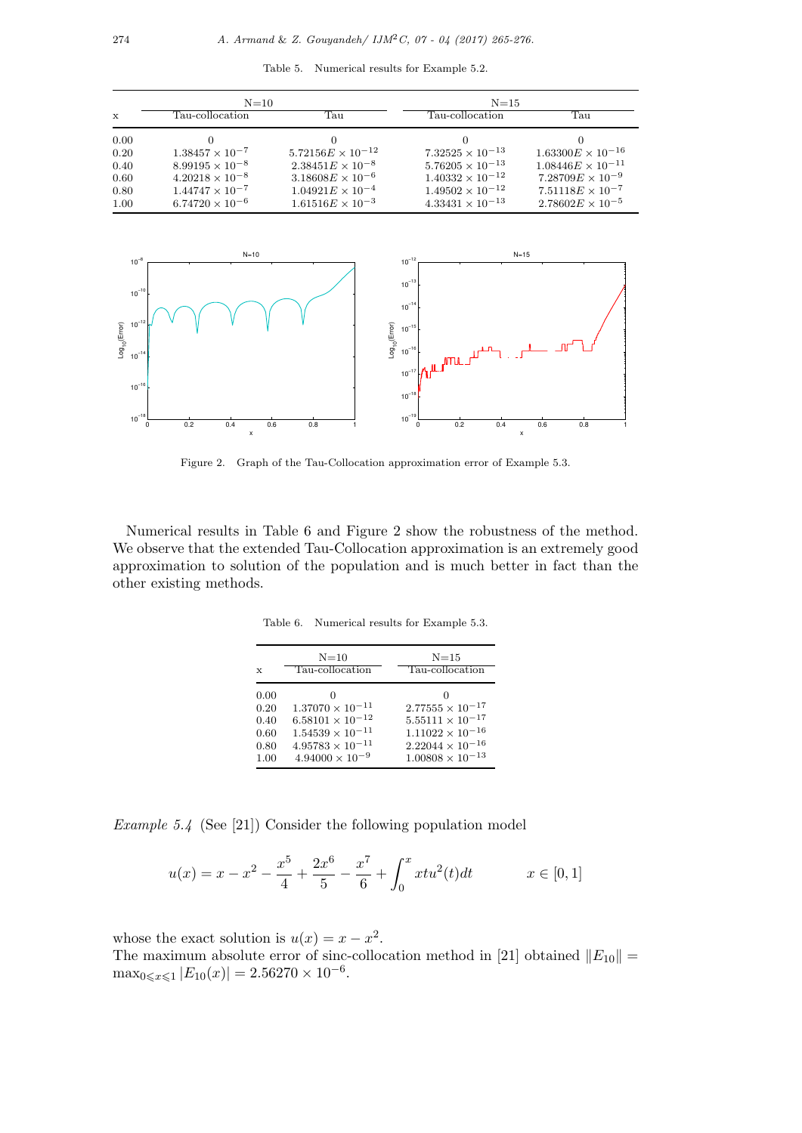Table 5. Numerical results for Example 5.2.

| $N=10$      |                          |                            | $N = 15$                  |                            |
|-------------|--------------------------|----------------------------|---------------------------|----------------------------|
| $\mathbf x$ | Tau-collocation.         | Тап                        | Tau-collocation.          | Тап                        |
| 0.00        |                          |                            |                           |                            |
| 0.20        | $1.38457 \times 10^{-7}$ | $5.72156E \times 10^{-12}$ | $7.32525 \times 10^{-13}$ | $1.63300E \times 10^{-16}$ |
| 0.40        | $8.99195 \times 10^{-8}$ | $2.38451E \times 10^{-8}$  | $5.76205 \times 10^{-13}$ | $1.08446E \times 10^{-11}$ |
| 0.60        | $4.20218 \times 10^{-8}$ | $3.18608E \times 10^{-6}$  | $1.40332 \times 10^{-12}$ | $7.28709E \times 10^{-9}$  |
| 0.80        | $1.44747 \times 10^{-7}$ | $1.04921E \times 10^{-4}$  | $1.49502 \times 10^{-12}$ | $7.51118E \times 10^{-7}$  |
| 1.00        | $6.74720 \times 10^{-6}$ | $1.61516E \times 10^{-3}$  | $4.33431 \times 10^{-13}$ | $2.78602E \times 10^{-5}$  |



Figure 2. Graph of the Tau-Collocation approximation error of Example 5.3.

Numerical results in Table 6 and Figure 2 show the robustness of the method. We observe that the extended Tau-Collocation approximation is an extremely good approximation to solution of the population and is much better in fact than the other existing methods.

Table 6. Numerical results for Example 5.3.

| $\mathbf{x}$                                 | $N=10$<br>Tau-collocation                                                                                                                    | $N = 15$<br>Tau-collocation                                                                                                                 |
|----------------------------------------------|----------------------------------------------------------------------------------------------------------------------------------------------|---------------------------------------------------------------------------------------------------------------------------------------------|
| 0.00<br>0.20<br>0.40<br>0.60<br>0.80<br>1.00 | $1.37070 \times 10^{-11}$<br>$6.58101 \times 10^{-12}$<br>$1.54539 \times 10^{-11}$<br>$4.95783 \times 10^{-11}$<br>$4.94000 \times 10^{-9}$ | $2.77555 \times 10^{-17}$<br>$5.55111\times10^{-17}$<br>$1.11022 \times 10^{-16}$<br>$2.22044 \times 10^{-16}$<br>$1.00808 \times 10^{-13}$ |

Example 5.4 (See [21]) Consider the following population model

$$
u(x) = x - x^{2} - \frac{x^{5}}{4} + \frac{2x^{6}}{5} - \frac{x^{7}}{6} + \int_{0}^{x} x t u^{2}(t) dt \qquad x \in [0, 1]
$$

whose the exact solution is  $u(x) = x - x^2$ .

The maximum absolute error of sinc-collocation method in [21] obtained  $||E_{10}|| =$  $\max_{0 \leq x \leq 1} |E_{10}(x)| = 2.56270 \times 10^{-6}.$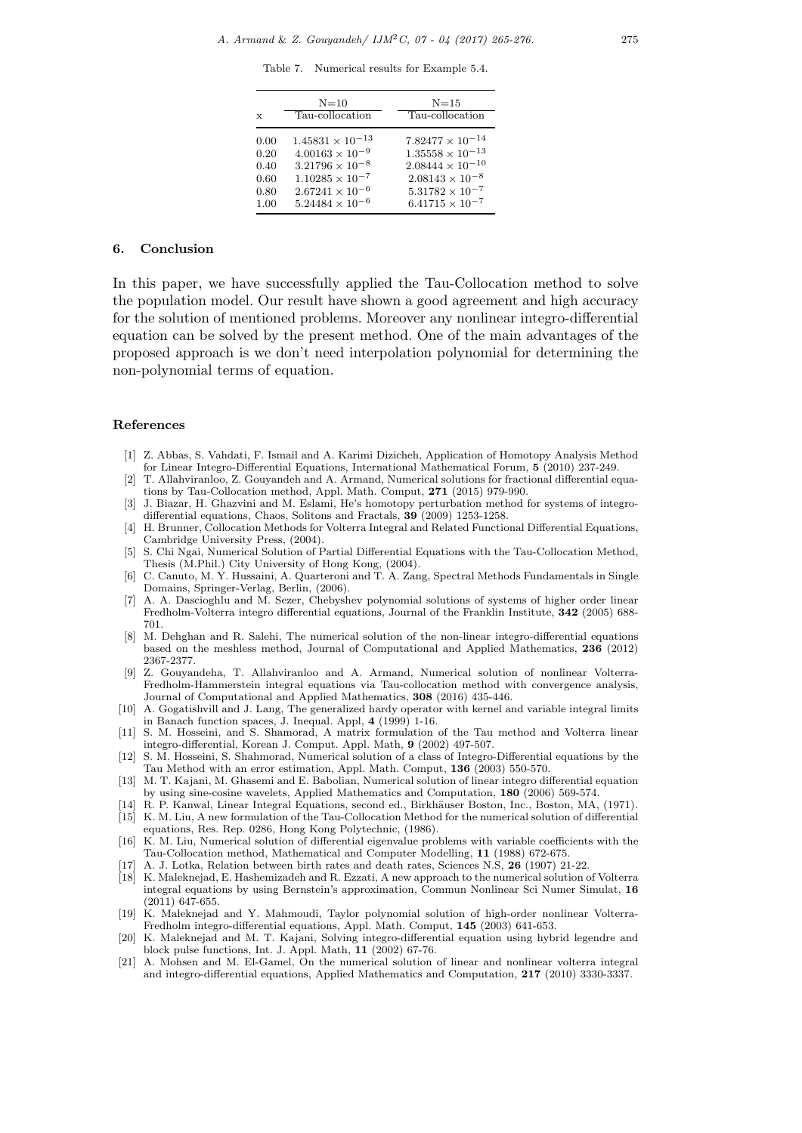Table 7. Numerical results for Example 5.4.

| $\mathbf{x}$ | $N=10$<br>Tau-collocation | $N=15$<br>Tau-collocation |
|--------------|---------------------------|---------------------------|
| 0.00         | $1.45831 \times 10^{-13}$ | $7.82477 \times 10^{-14}$ |
| 0.20         | $4.00163 \times 10^{-9}$  | $1.35558\times10^{-13}$   |
| 0.40         | $3.21796 \times 10^{-8}$  | $2.08444 \times 10^{-10}$ |
| 0.60         | $1.10285 \times 10^{-7}$  | $2.08143 \times 10^{-8}$  |
| 0.80         | $2.67241 \times 10^{-6}$  | $5.31782 \times 10^{-7}$  |
| 1.00         | $5.24484 \times 10^{-6}$  | $6.41715 \times 10^{-7}$  |

#### 6. Conclusion

In this paper, we have successfully applied the Tau-Collocation method to solve the population model. Our result have shown a good agreement and high accuracy for the solution of mentioned problems. Moreover any nonlinear integro-differential equation can be solved by the present method. One of the main advantages of the proposed approach is we don't need interpolation polynomial for determining the non-polynomial terms of equation.

#### References

- [1] Z. Abbas, S. Vahdati, F. Ismail and A. Karimi Dizicheh, Application of Homotopy Analysis Method for Linear Integro-Differential Equations, International Mathematical Forum, 5 (2010) 237-249.
- [2] T. Allahviranloo, Z. Gouyandeh and A. Armand, Numerical solutions for fractional differential equations by Tau-Collocation method, Appl. Math. Comput, 271 (2015) 979-990.
- [3] J. Biazar, H. Ghazvini and M. Eslami, He's homotopy perturbation method for systems of integrodifferential equations, Chaos, Solitons and Fractals, 39 (2009) 1253-1258.
- [4] H. Brunner, Collocation Methods for Volterra Integral and Related Functional Differential Equations, Cambridge University Press, (2004).
- [5] S. Chi Ngai, Numerical Solution of Partial Differential Equations with the Tau-Collocation Method, Thesis (M.Phil.) City University of Hong Kong, (2004).
- [6] C. Canuto, M. Y. Hussaini, A. Quarteroni and T. A. Zang, Spectral Methods Fundamentals in Single Domains, Springer-Verlag, Berlin, (2006).
- [7] A. A. Dascioghlu and M. Sezer, Chebyshev polynomial solutions of systems of higher order linear Fredholm-Volterra integro differential equations, Journal of the Franklin Institute, 342 (2005) 688- 701.
- [8] M. Dehghan and R. Salehi, The numerical solution of the non-linear integro-differential equations based on the meshless method, Journal of Computational and Applied Mathematics, 236 (2012) 2367-2377.
- [9] Z. Gouyandeha, T. Allahviranloo and A. Armand, Numerical solution of nonlinear Volterra-Fredholm-Hammerstein integral equations via Tau-collocation method with convergence analysis, Journal of Computational and Applied Mathematics, 308 (2016) 435-446.
- [10] A. Gogatishvill and J. Lang, The generalized hardy operator with kernel and variable integral limits in Banach function spaces, J. Inequal. Appl, 4 (1999) 1-16.
- [11] S. M. Hosseini, and S. Shamorad, A matrix formulation of the Tau method and Volterra linear integro-differential, Korean J. Comput. Appl. Math, 9 (2002) 497-507.
- [12] S. M. Hosseini, S. Shahmorad, Numerical solution of a class of Integro-Differential equations by the Tau Method with an error estimation, Appl. Math. Comput, 136 (2003) 550-570.
- [13] M. T. Kajani, M. Ghasemi and E. Babolian, Numerical solution of linear integro differential equation by using sine-cosine wavelets, Applied Mathematics and Computation, 180 (2006) 569-574.
- [14] R. P. Kanwal, Linear Integral Equations, second ed., Birkhäuser Boston, Inc., Boston, MA, (1971).
- [15] K. M. Liu, A new formulation of the Tau-Collocation Method for the numerical solution of differential equations, Res. Rep. 0286, Hong Kong Polytechnic, (1986).
- [16] K. M. Liu, Numerical solution of differential eigenvalue problems with variable coefficients with the Tau-Collocation method, Mathematical and Computer Modelling, 11 (1988) 672-675.
- [17] A. J. Lotka, Relation between birth rates and death rates, Sciences N.S, 26 (1907) 21-22.
- [18] K. Maleknejad, E. Hashemizadeh and R. Ezzati, A new approach to the numerical solution of Volterra integral equations by using Bernstein's approximation, Commun Nonlinear Sci Numer Simulat, 16 (2011) 647-655.
- [19] K. Maleknejad and Y. Mahmoudi, Taylor polynomial solution of high-order nonlinear Volterra-Fredholm integro-differential equations, Appl. Math. Comput, 145 (2003) 641-653.
- [20] K. Maleknejad and M. T. Kajani, Solving integro-differential equation using hybrid legendre and block pulse functions, Int. J. Appl. Math, 11 (2002) 67-76.
- [21] A. Mohsen and M. El-Gamel, On the numerical solution of linear and nonlinear volterra integral and integro-differential equations, Applied Mathematics and Computation, 217 (2010) 3330-3337.